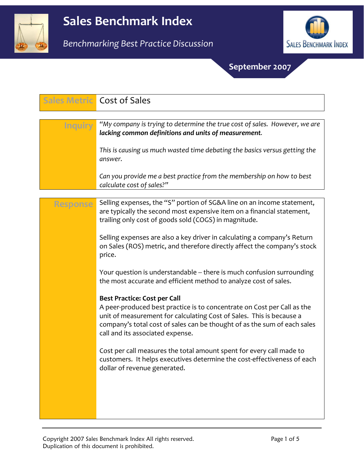



## September 2007

|                | <b>Sales Metric Cost of Sales</b>                                                                                                                                                                                                                               |
|----------------|-----------------------------------------------------------------------------------------------------------------------------------------------------------------------------------------------------------------------------------------------------------------|
| <b>Inquiry</b> | "My company is trying to determine the true cost of sales. However, we are<br>lacking common definitions and units of measurement.                                                                                                                              |
|                | This is causing us much wasted time debating the basics versus getting the<br>answer.                                                                                                                                                                           |
|                | Can you provide me a best practice from the membership on how to best<br>calculate cost of sales?"                                                                                                                                                              |
|                |                                                                                                                                                                                                                                                                 |
| Response       | Selling expenses, the "S" portion of SG&A line on an income statement,<br>are typically the second most expensive item on a financial statement,<br>trailing only cost of goods sold (COGS) in magnitude.                                                       |
|                | Selling expenses are also a key driver in calculating a company's Return<br>on Sales (ROS) metric, and therefore directly affect the company's stock<br>price.                                                                                                  |
|                | Your question is understandable -- there is much confusion surrounding<br>the most accurate and efficient method to analyze cost of sales.                                                                                                                      |
|                | <b>Best Practice: Cost per Call</b>                                                                                                                                                                                                                             |
|                | A peer-produced best practice is to concentrate on Cost per Call as the<br>unit of measurement for calculating Cost of Sales. This is because a<br>company's total cost of sales can be thought of as the sum of each sales<br>call and its associated expense. |
|                | Cost per call measures the total amount spent for every call made to<br>customers. It helps executives determine the cost-effectiveness of each<br>dollar of revenue generated.                                                                                 |
|                |                                                                                                                                                                                                                                                                 |
|                |                                                                                                                                                                                                                                                                 |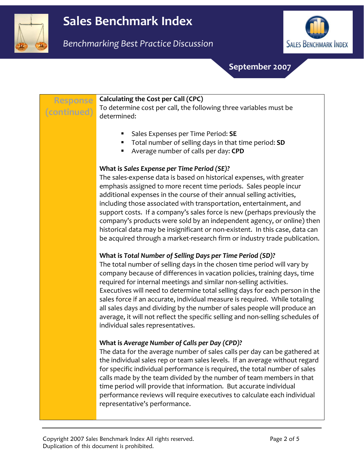



September 2007

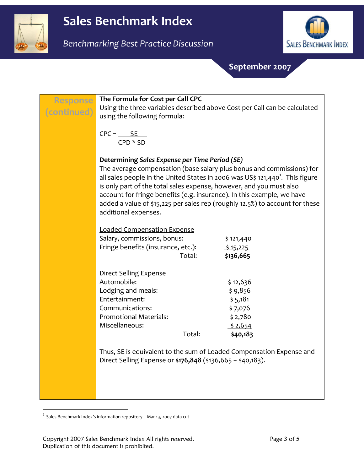



September 2007

| <b>Response</b><br>(continued) | The Formula for Cost per Call CPC<br>using the following formula:                                                                                                                                                                   | Using the three variables described above Cost per Call can be calculated                                                                                                                                                                                                                                                    |
|--------------------------------|-------------------------------------------------------------------------------------------------------------------------------------------------------------------------------------------------------------------------------------|------------------------------------------------------------------------------------------------------------------------------------------------------------------------------------------------------------------------------------------------------------------------------------------------------------------------------|
|                                | $CPC =$ $SE$<br>$CPD * SD$                                                                                                                                                                                                          |                                                                                                                                                                                                                                                                                                                              |
|                                | Determining Sales Expense per Time Period (SE)<br>is only part of the total sales expense, however, and you must also<br>additional expenses.                                                                                       | The average compensation (base salary plus bonus and commissions) for<br>all sales people in the United States in 2006 was US\$ 121,440 <sup>1</sup> . This figure<br>account for fringe benefits (e.g. insurance). In this example, we have<br>added a value of \$15,225 per sales rep (roughly 12.5%) to account for these |
|                                | <b>Loaded Compensation Expense</b><br>Salary, commissions, bonus:<br>Fringe benefits (insurance, etc.):<br>Total:                                                                                                                   | \$121,440<br>\$15,225<br>\$136,665                                                                                                                                                                                                                                                                                           |
|                                | <b>Direct Selling Expense</b><br>Automobile:<br>Lodging and meals:<br>Entertainment:<br>Communications:<br><b>Promotional Materials:</b><br>Miscellaneous:<br>Total:<br>Direct Selling Expense or \$176,848 (\$136,665 + \$40,183). | \$12,636<br>\$9,856<br>\$5,181<br>\$7,076<br>\$2,780<br>\$2,654<br>\$40,183<br>Thus, SE is equivalent to the sum of Loaded Compensation Expense and                                                                                                                                                                          |

 $<sup>1</sup>$  Sales Benchmark Index's information repository – Mar 13, 2007 data cut</sup>

 $\overline{a}$ 

Copyright 2007 Sales Benchmark Index All rights reserved. Page 3 of 5 Duplication of this document is prohibited.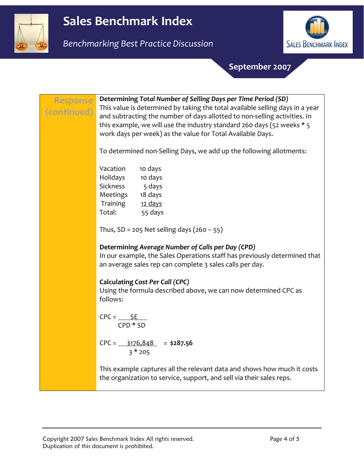

Benchmarking Best Practice Discussion



September 2007

| <b>Response</b><br>(continued) | Determining Total Number of Selling Days per Time Period (SD)<br>This value is determined by taking the total available selling days in a year<br>and subtracting the number of days allotted to non-selling activities. In<br>this example, we will use the industry standard 260 days (52 weeks * 5<br>work days per week) as the value for Total Available Days. |
|--------------------------------|---------------------------------------------------------------------------------------------------------------------------------------------------------------------------------------------------------------------------------------------------------------------------------------------------------------------------------------------------------------------|
|                                | To determined non-Selling Days, we add up the following allotments:                                                                                                                                                                                                                                                                                                 |
|                                | Vacation<br>10 days                                                                                                                                                                                                                                                                                                                                                 |
|                                | Holidays 10 days<br>Sickness 5 days                                                                                                                                                                                                                                                                                                                                 |
|                                | Meetings 18 days                                                                                                                                                                                                                                                                                                                                                    |
|                                | Training<br>12 days                                                                                                                                                                                                                                                                                                                                                 |
|                                | Total: 55 days                                                                                                                                                                                                                                                                                                                                                      |
|                                | Thus, $SD = 205$ Net selling days $(260 - 55)$                                                                                                                                                                                                                                                                                                                      |
|                                | Determining Average Number of Calls per Day (CPD)<br>In our example, the Sales Operations staff has previously determined that<br>an average sales rep can complete 3 sales calls per day.                                                                                                                                                                          |
|                                | <b>Calculating Cost Per Call (CPC)</b><br>Using the formula described above, we can now determined CPC as<br>follows:                                                                                                                                                                                                                                               |
|                                | $CPC = \underline{SE}$<br>$CPD * SD$                                                                                                                                                                                                                                                                                                                                |
|                                | $CPC =$ $\frac{$176,848}{$}$ = \$287.56<br>$3*205$                                                                                                                                                                                                                                                                                                                  |
|                                | This example captures all the relevant data and shows how much it costs<br>the organization to service, support, and sell via their sales reps.                                                                                                                                                                                                                     |